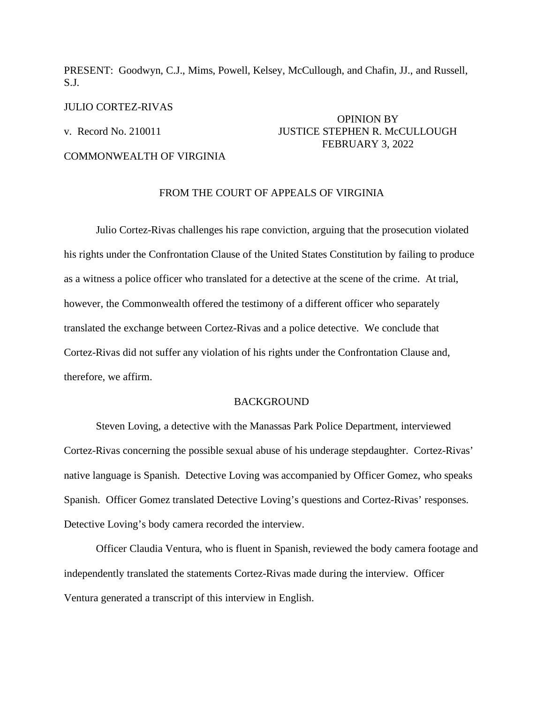PRESENT: Goodwyn, C.J., Mims, Powell, Kelsey, McCullough, and Chafin, JJ., and Russell, S.J.

#### JULIO CORTEZ-RIVAS

# OPINION BY v. Record No. 210011 JUSTICE STEPHEN R. McCULLOUGH FEBRUARY 3, 2022

## COMMONWEALTH OF VIRGINIA

### FROM THE COURT OF APPEALS OF VIRGINIA

Julio Cortez-Rivas challenges his rape conviction, arguing that the prosecution violated his rights under the Confrontation Clause of the United States Constitution by failing to produce as a witness a police officer who translated for a detective at the scene of the crime. At trial, however, the Commonwealth offered the testimony of a different officer who separately translated the exchange between Cortez-Rivas and a police detective. We conclude that Cortez-Rivas did not suffer any violation of his rights under the Confrontation Clause and, therefore, we affirm.

## **BACKGROUND**

Steven Loving, a detective with the Manassas Park Police Department, interviewed Cortez-Rivas concerning the possible sexual abuse of his underage stepdaughter. Cortez-Rivas' native language is Spanish. Detective Loving was accompanied by Officer Gomez, who speaks Spanish. Officer Gomez translated Detective Loving's questions and Cortez-Rivas' responses. Detective Loving's body camera recorded the interview.

Officer Claudia Ventura, who is fluent in Spanish, reviewed the body camera footage and independently translated the statements Cortez-Rivas made during the interview. Officer Ventura generated a transcript of this interview in English.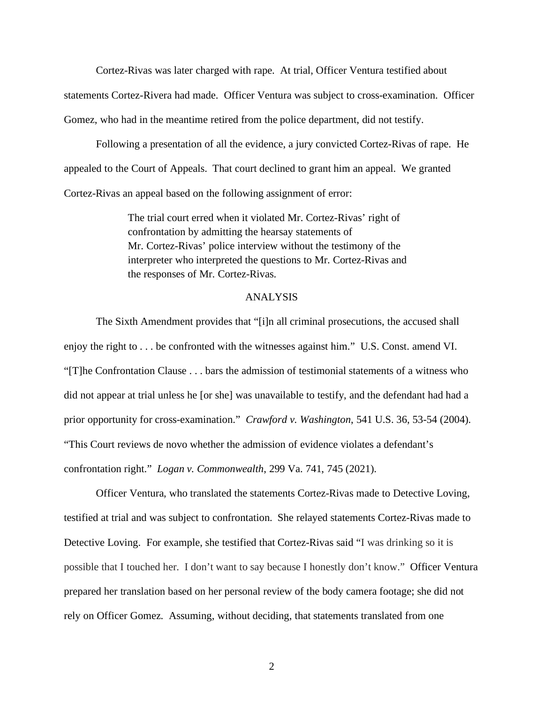Cortez-Rivas was later charged with rape. At trial, Officer Ventura testified about statements Cortez-Rivera had made. Officer Ventura was subject to cross-examination. Officer Gomez, who had in the meantime retired from the police department, did not testify.

Following a presentation of all the evidence, a jury convicted Cortez-Rivas of rape. He appealed to the Court of Appeals. That court declined to grant him an appeal. We granted Cortez-Rivas an appeal based on the following assignment of error:

> The trial court erred when it violated Mr. Cortez-Rivas' right of confrontation by admitting the hearsay statements of Mr. Cortez-Rivas' police interview without the testimony of the interpreter who interpreted the questions to Mr. Cortez-Rivas and the responses of Mr. Cortez-Rivas.

#### ANALYSIS

The Sixth Amendment provides that "[i]n all criminal prosecutions, the accused shall enjoy the right to . . . be confronted with the witnesses against him." U.S. Const. amend VI. "[T]he Confrontation Clause . . . bars the admission of testimonial statements of a witness who did not appear at trial unless he [or she] was unavailable to testify, and the defendant had had a prior opportunity for cross-examination." *Crawford v. Washington*, 541 U.S. 36, 53-54 (2004). "This Court reviews de novo whether the admission of evidence violates a defendant's confrontation right." *Logan v. Commonwealth*, 299 Va. 741, 745 (2021).

Officer Ventura, who translated the statements Cortez-Rivas made to Detective Loving, testified at trial and was subject to confrontation. She relayed statements Cortez-Rivas made to Detective Loving. For example, she testified that Cortez-Rivas said "I was drinking so it is possible that I touched her. I don't want to say because I honestly don't know." Officer Ventura prepared her translation based on her personal review of the body camera footage; she did not rely on Officer Gomez. Assuming, without deciding, that statements translated from one